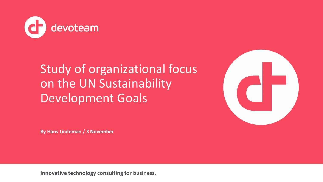

# Study of organizational focus on the UN Sustainability Development Goals



**By Hans Lindeman / 3 November**

**Innovative technology consulting for business.**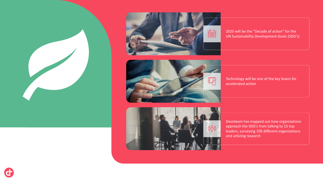



2020 will be the "Decade of action" for the UN Sustainability Development Goals (SDG's)



Technology will be one of the key levers for accelerated action



Devoteam has mapped out how organizations approach the SDG's from talking to 15 top leaders, surveying 100 different organizations and utilizing research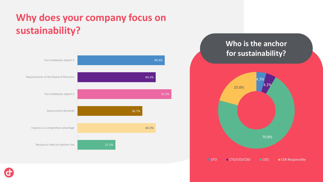# **Why does your company focus on sustainability?**



### **Who is the anchor for sustainability?**



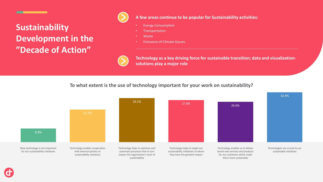### **Sustainability Development in the "Decade of Action"**



#### **A few areas continue to be popular for Sustainability activities:**

- Energy Consumption
- **Transportation**
- Waste
- Emissions of Climate Gasses



**Technology as a key driving force for sustainable transition; data and visualizationsolutions play a major role**

#### **To what extent is the use of technology important for your work on sustainability?**

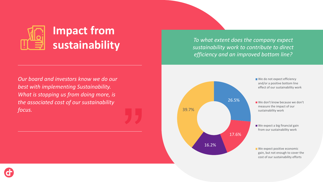

*To what extent does the company expect sustainability work to contribute to direct efficiency and an improved bottom line?*

*Our board and investors know we do our best with implementing Sustainability. What is stopping us from doing more, is the associated cost of our sustainability focus.* 





We do not expect efficiency and/or a positive bottom line effect of our sustainability work

We don't know because we don't measure the impact of our sustainability work

■ We expect a big financial gain from our sustainability work

We expect positive economic gain, but not enough to cover the cost of our sustainability efforts

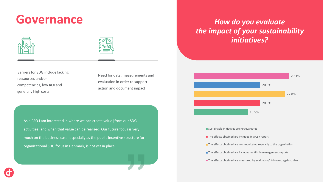# **Governance** *How do you evaluate*





Barriers for SDG include lacking ressources and/or competencies, low ROI and generally high costs:

Need for data, measurements and evaluation in order to support action and document impact

As a CFO I am interested in where we can create value [from our SDG activities] and when that value can be realized. Our future focus is very much on the business case, especially as the public incentive structure for organizational SDG focus in Denmark, is not yet in place.

# *the impact of your sustainability initiatives?*



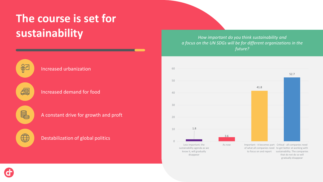# **The course is set for sustainability** *CUSTAIN SUSTAIN ADVICED SUSTAIN ADVICED Above important do you think sustainability and* **<b>SUSTAIN**

*a focus on the UN SDGs will be for different organizations in the future?* 





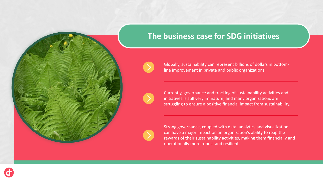

### **The business case for SDG initiatives**

line improvement in private and public organizations.





Currently, governance and tracking of sustainability activities and initiatives is still very immature, and many organizations are struggling to ensure a positive financial impact from sustainability.

Globally, sustainability can represent billions of dollars in bottom-

Strong governance, coupled with data, analytics and visualization, can have a major impact on an organization's ability to reap the rewards of their sustainability activities, making them financially and operationally more robust and resilient.

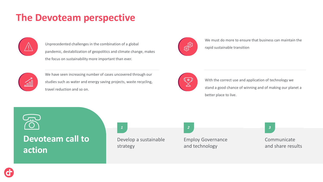## **The Devoteam perspective**



Unprecedented challenges in the combination of a global pandemic, destabilization of geopolitics and climate change, makes the focus on sustainability more important than ever.



We must do more to ensure that business can maintain the rapid sustainable transition



We have seen increasing number of cases uncovered through our studies such as water and energy saving projects, waste recycling, travel reduction and so on.



With the correct use and application of technology we stand a good chance of winning and of making our planet a better place to live.



### **Devoteam call to action**



Employ Governance and technology

Communicate and share results

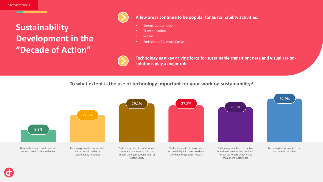### **Sustainability Development in the "Decade of Action"**



#### **A few areas continue to be popular for Sustainability activities:**

- Energy Consumption
- **Transportation**
- Waste
- Emissions of Climate Gasses



**Technology as a key driving force for sustainable transition; data and visualizationsolutions play a major role**

**To what extent is the use of technology important for your work on sustainability?**

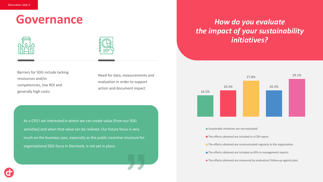## **Governance** *How do you evaluate*





Barriers for SDG include lacking ressources and/or competencies, low ROI and generally high costs:

Need for data, measurements and evaluation in order to support action and document impact

As a CFO I am interested in where we can create value [from our SDG activities] and when that value can be realized. Our future focus is very much on the business case, especially as the public incentive structure for organizational SDG focus in Denmark, is not yet in place.

# *the impact of your sustainability initiatives?*



The effects obtained are included in a CSR report

The effects obtained are communicated regularly to the organization

The effects obtained are included as KPIs in management reports

The effects obtained are measured by evaluation/ follow-up against plan

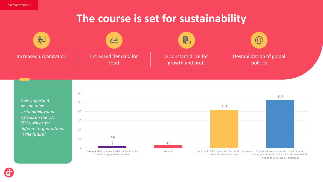## **The course is set for sustainability**